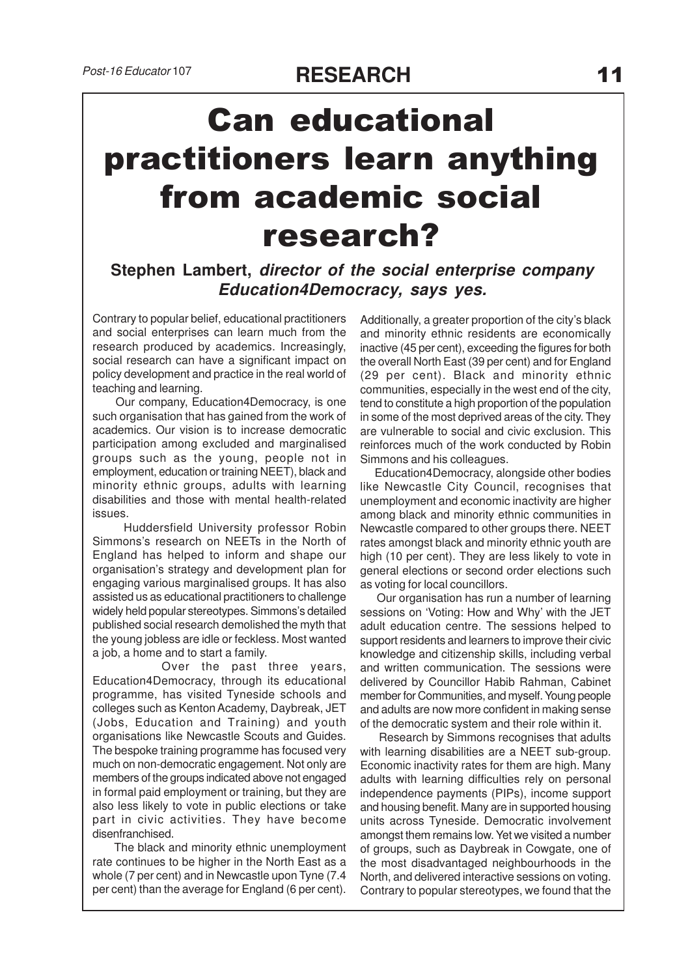## Can educational practitioners learn anything from academic social research?

## **Stephen Lambert, director of the social enterprise company Education4Democracy, says yes.**

Contrary to popular belief, educational practitioners and social enterprises can learn much from the research produced by academics. Increasingly, social research can have a significant impact on policy development and practice in the real world of teaching and learning.

 Our company, Education4Democracy, is one such organisation that has gained from the work of academics. Our vision is to increase democratic participation among excluded and marginalised groups such as the young, people not in employment, education or training NEET), black and minority ethnic groups, adults with learning disabilities and those with mental health-related issues.

 Huddersfield University professor Robin Simmons's research on NEETs in the North of England has helped to inform and shape our organisation's strategy and development plan for engaging various marginalised groups. It has also assisted us as educational practitioners to challenge widely held popular stereotypes. Simmons's detailed published social research demolished the myth that the young jobless are idle or feckless. Most wanted a job, a home and to start a family.

 Over the past three years, Education4Democracy, through its educational programme, has visited Tyneside schools and colleges such as Kenton Academy, Daybreak, JET (Jobs, Education and Training) and youth organisations like Newcastle Scouts and Guides. The bespoke training programme has focused very much on non-democratic engagement. Not only are members of the groups indicated above not engaged in formal paid employment or training, but they are also less likely to vote in public elections or take part in civic activities. They have become disenfranchised.

 The black and minority ethnic unemployment rate continues to be higher in the North East as a whole (7 per cent) and in Newcastle upon Tyne (7.4 per cent) than the average for England (6 per cent).

Additionally, a greater proportion of the city's black and minority ethnic residents are economically inactive (45 per cent), exceeding the figures for both the overall North East (39 per cent) and for England (29 per cent). Black and minority ethnic communities, especially in the west end of the city, tend to constitute a high proportion of the population in some of the most deprived areas of the city. They are vulnerable to social and civic exclusion. This reinforces much of the work conducted by Robin Simmons and his colleagues.

 Education4Democracy, alongside other bodies like Newcastle City Council, recognises that unemployment and economic inactivity are higher among black and minority ethnic communities in Newcastle compared to other groups there. NEET rates amongst black and minority ethnic youth are high (10 per cent). They are less likely to vote in general elections or second order elections such as voting for local councillors.

 Our organisation has run a number of learning sessions on 'Voting: How and Why' with the JET adult education centre. The sessions helped to support residents and learners to improve their civic knowledge and citizenship skills, including verbal and written communication. The sessions were delivered by Councillor Habib Rahman, Cabinet member for Communities, and myself. Young people and adults are now more confident in making sense of the democratic system and their role within it.

 Research by Simmons recognises that adults with learning disabilities are a NEET sub-group. Economic inactivity rates for them are high. Many adults with learning difficulties rely on personal independence payments (PIPs), income support and housing benefit. Many are in supported housing units across Tyneside. Democratic involvement amongst them remains low. Yet we visited a number of groups, such as Daybreak in Cowgate, one of the most disadvantaged neighbourhoods in the North, and delivered interactive sessions on voting. Contrary to popular stereotypes, we found that the